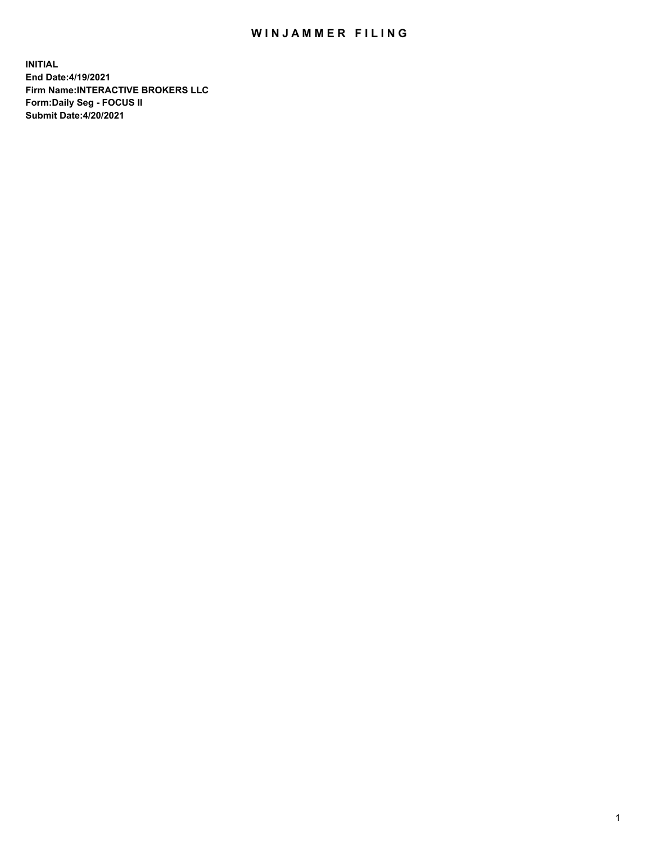## WIN JAMMER FILING

**INITIAL End Date:4/19/2021 Firm Name:INTERACTIVE BROKERS LLC Form:Daily Seg - FOCUS II Submit Date:4/20/2021**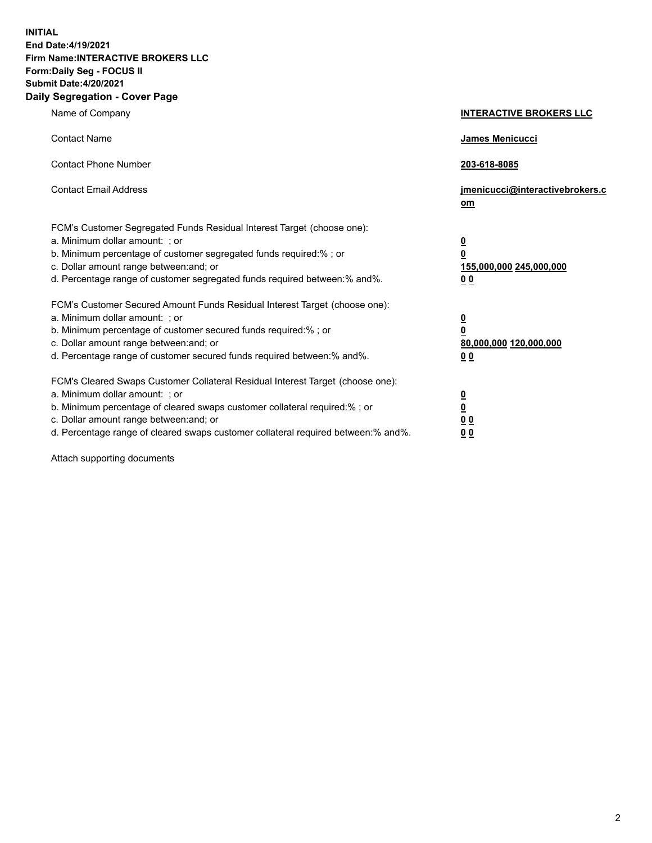**INITIAL End Date:4/19/2021 Firm Name:INTERACTIVE BROKERS LLC Form:Daily Seg - FOCUS II Submit Date:4/20/2021 Daily Segregation - Cover Page**

| Name of Company                                                                                                                                                                                                                                                                                                                | <b>INTERACTIVE BROKERS LLC</b>                                                   |
|--------------------------------------------------------------------------------------------------------------------------------------------------------------------------------------------------------------------------------------------------------------------------------------------------------------------------------|----------------------------------------------------------------------------------|
| <b>Contact Name</b>                                                                                                                                                                                                                                                                                                            | James Menicucci                                                                  |
| <b>Contact Phone Number</b>                                                                                                                                                                                                                                                                                                    | 203-618-8085                                                                     |
| <b>Contact Email Address</b>                                                                                                                                                                                                                                                                                                   | jmenicucci@interactivebrokers.c<br>om                                            |
| FCM's Customer Segregated Funds Residual Interest Target (choose one):<br>a. Minimum dollar amount: ; or<br>b. Minimum percentage of customer segregated funds required:% ; or<br>c. Dollar amount range between: and; or<br>d. Percentage range of customer segregated funds required between:% and%.                         | <u>0</u><br>$\overline{\mathbf{0}}$<br>155,000,000 245,000,000<br>0 <sub>0</sub> |
| FCM's Customer Secured Amount Funds Residual Interest Target (choose one):<br>a. Minimum dollar amount: ; or<br>b. Minimum percentage of customer secured funds required:% ; or<br>c. Dollar amount range between: and; or<br>d. Percentage range of customer secured funds required between:% and%.                           | <u>0</u><br>$\overline{\mathbf{0}}$<br>80,000,000 120,000,000<br>0 <sub>0</sub>  |
| FCM's Cleared Swaps Customer Collateral Residual Interest Target (choose one):<br>a. Minimum dollar amount: ; or<br>b. Minimum percentage of cleared swaps customer collateral required:% ; or<br>c. Dollar amount range between: and; or<br>d. Percentage range of cleared swaps customer collateral required between:% and%. | <u>0</u><br>$\underline{\mathbf{0}}$<br>0 <sub>0</sub><br>0 <sub>0</sub>         |

Attach supporting documents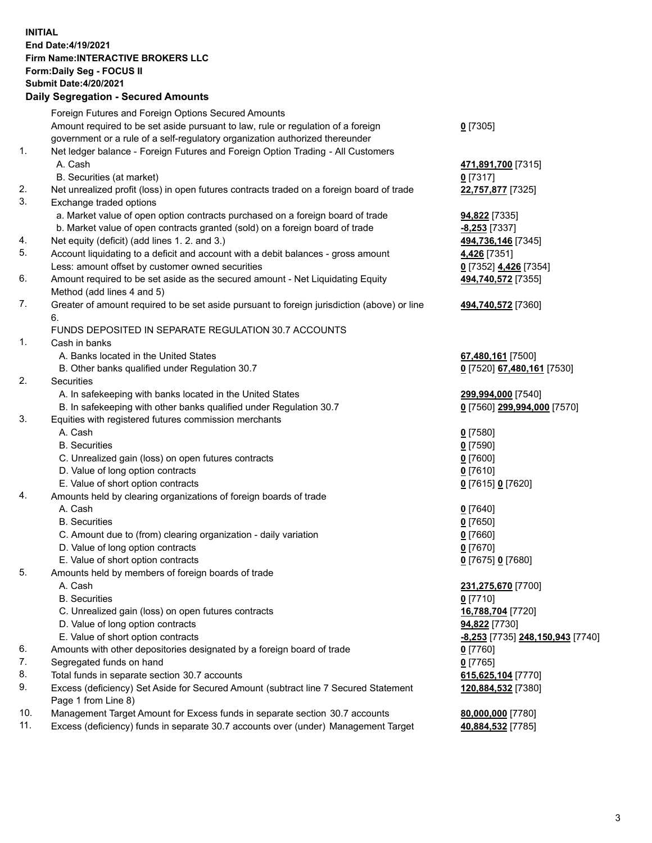**INITIAL End Date:4/19/2021 Firm Name:INTERACTIVE BROKERS LLC Form:Daily Seg - FOCUS II Submit Date:4/20/2021 Daily Segregation - Secured Amounts**

## Foreign Futures and Foreign Options Secured Amounts Amount required to be set aside pursuant to law, rule or regulation of a foreign government or a rule of a self-regulatory organization authorized thereunder **0** [7305] 1. Net ledger balance - Foreign Futures and Foreign Option Trading - All Customers A. Cash **471,891,700** [7315] B. Securities (at market) **0** [7317] 2. Net unrealized profit (loss) in open futures contracts traded on a foreign board of trade **22,757,877** [7325] 3. Exchange traded options a. Market value of open option contracts purchased on a foreign board of trade **94,822** [7335] b. Market value of open contracts granted (sold) on a foreign board of trade **-8,253** [7337] 4. Net equity (deficit) (add lines 1. 2. and 3.) **494,736,146** [7345] 5. Account liquidating to a deficit and account with a debit balances - gross amount **4,426** [7351] Less: amount offset by customer owned securities **0** [7352] **4,426** [7354] 6. Amount required to be set aside as the secured amount - Net Liquidating Equity Method (add lines 4 and 5) **494,740,572** [7355] 7. Greater of amount required to be set aside pursuant to foreign jurisdiction (above) or line 6. **494,740,572** [7360] FUNDS DEPOSITED IN SEPARATE REGULATION 30.7 ACCOUNTS 1. Cash in banks A. Banks located in the United States **67,480,161** [7500] B. Other banks qualified under Regulation 30.7 **0** [7520] **67,480,161** [7530] 2. Securities A. In safekeeping with banks located in the United States **299,994,000** [7540] B. In safekeeping with other banks qualified under Regulation 30.7 **0** [7560] **299,994,000** [7570] 3. Equities with registered futures commission merchants A. Cash **0** [7580] B. Securities **0** [7590] C. Unrealized gain (loss) on open futures contracts **0** [7600] D. Value of long option contracts **0** [7610] E. Value of short option contracts **0** [7615] **0** [7620] 4. Amounts held by clearing organizations of foreign boards of trade A. Cash **0** [7640] B. Securities **0** [7650] C. Amount due to (from) clearing organization - daily variation **0** [7660] D. Value of long option contracts **0** [7670] E. Value of short option contracts **0** [7675] **0** [7680] 5. Amounts held by members of foreign boards of trade A. Cash **231,275,670** [7700] B. Securities **0** [7710] C. Unrealized gain (loss) on open futures contracts **16,788,704** [7720] D. Value of long option contracts **94,822** [7730] E. Value of short option contracts **-8,253** [7735] **248,150,943** [7740] 6. Amounts with other depositories designated by a foreign board of trade **0** [7760] 7. Segregated funds on hand **0** [7765] 8. Total funds in separate section 30.7 accounts **615,625,104** [7770] 9. Excess (deficiency) Set Aside for Secured Amount (subtract line 7 Secured Statement Page 1 from Line 8) **120,884,532** [7380] 10. Management Target Amount for Excess funds in separate section 30.7 accounts **80,000,000** [7780] 11. Excess (deficiency) funds in separate 30.7 accounts over (under) Management Target **40,884,532** [7785]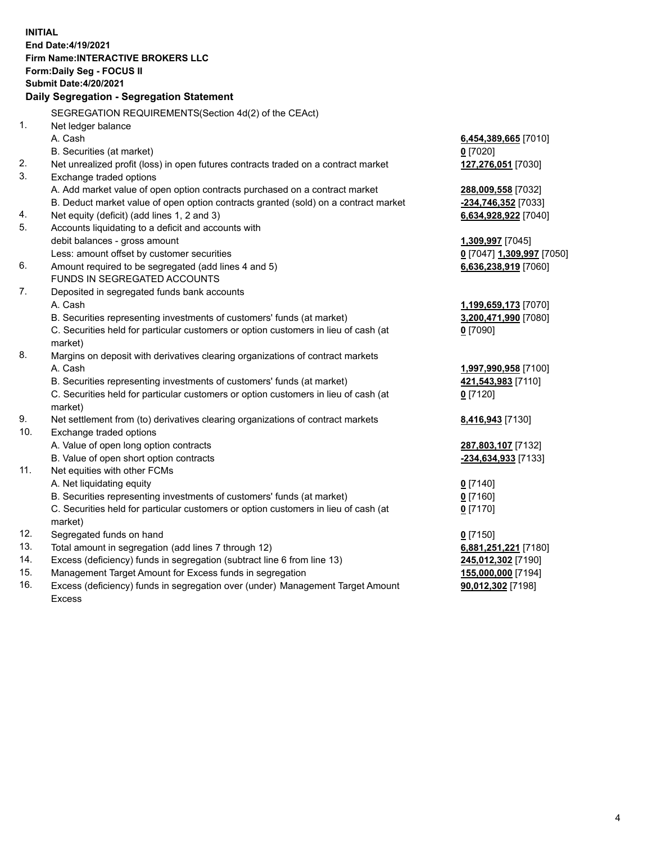**INITIAL End Date:4/19/2021 Firm Name:INTERACTIVE BROKERS LLC Form:Daily Seg - FOCUS II Submit Date:4/20/2021 Daily Segregation - Segregation Statement** SEGREGATION REQUIREMENTS(Section 4d(2) of the CEAct) 1. Net ledger balance A. Cash **6,454,389,665** [7010] B. Securities (at market) **0** [7020] 2. Net unrealized profit (loss) in open futures contracts traded on a contract market **127,276,051** [7030] 3. Exchange traded options A. Add market value of open option contracts purchased on a contract market **288,009,558** [7032] B. Deduct market value of open option contracts granted (sold) on a contract market **-234,746,352** [7033] 4. Net equity (deficit) (add lines 1, 2 and 3) **6,634,928,922** [7040] 5. Accounts liquidating to a deficit and accounts with debit balances - gross amount **1,309,997** [7045] Less: amount offset by customer securities **0** [7047] **1,309,997** [7050] 6. Amount required to be segregated (add lines 4 and 5) **6,636,238,919** [7060] FUNDS IN SEGREGATED ACCOUNTS 7. Deposited in segregated funds bank accounts A. Cash **1,199,659,173** [7070] B. Securities representing investments of customers' funds (at market) **3,200,471,990** [7080] C. Securities held for particular customers or option customers in lieu of cash (at market) **0** [7090] 8. Margins on deposit with derivatives clearing organizations of contract markets A. Cash **1,997,990,958** [7100] B. Securities representing investments of customers' funds (at market) **421,543,983** [7110] C. Securities held for particular customers or option customers in lieu of cash (at market) **0** [7120] 9. Net settlement from (to) derivatives clearing organizations of contract markets **8,416,943** [7130] 10. Exchange traded options A. Value of open long option contracts **287,803,107** [7132] B. Value of open short option contracts **-234,634,933** [7133] 11. Net equities with other FCMs A. Net liquidating equity **0** [7140] B. Securities representing investments of customers' funds (at market) **0** [7160] C. Securities held for particular customers or option customers in lieu of cash (at market) **0** [7170] 12. Segregated funds on hand **0** [7150] 13. Total amount in segregation (add lines 7 through 12) **6,881,251,221** [7180] 14. Excess (deficiency) funds in segregation (subtract line 6 from line 13) **245,012,302** [7190] 15. Management Target Amount for Excess funds in segregation **155,000,000** [7194]

16. Excess (deficiency) funds in segregation over (under) Management Target Amount Excess

**90,012,302** [7198]